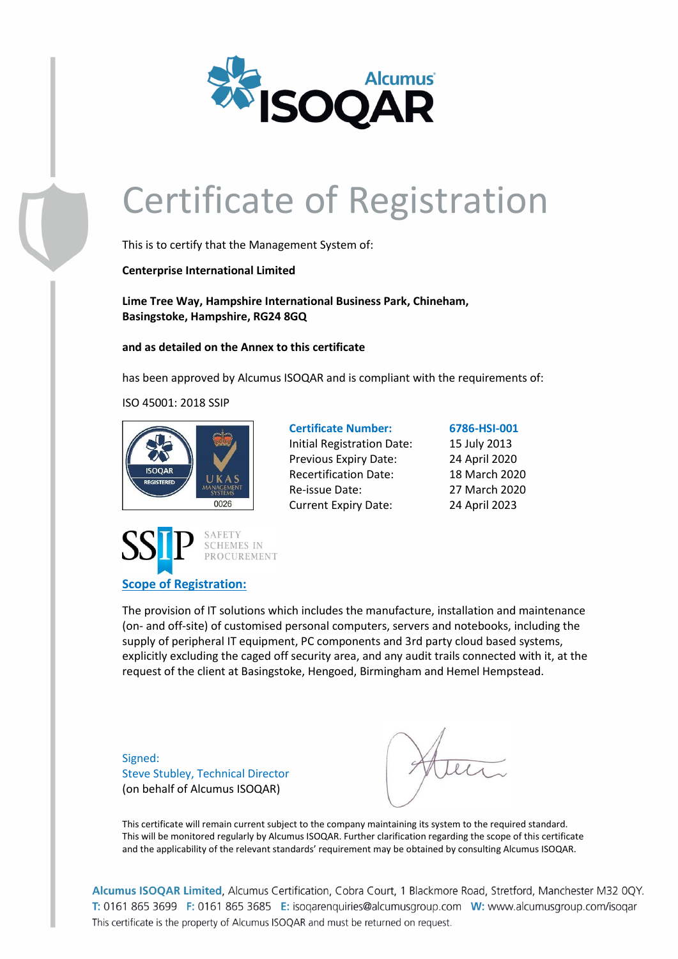

This is to certify that the Management System of:

**Centerprise International Limited**

**Lime Tree Way, Hampshire International Business Park, Chineham, Basingstoke, Hampshire, RG24 8GQ**

**and as detailed on the Annex to this certificate**

has been approved by Alcumus ISOQAR and is compliant with the requirements of:

ISO 45001: 2018 SSIP



**Scope of Registration:**



**Certificate Number: 6786-HSI-001** Initial Registration Date: 15 July 2013 Previous Expiry Date: 24 April 2020 Recertification Date: 18 March 2020 Re-issue Date: 27 March 2020 Current Expiry Date: 24 April 2023

The provision of IT solutions which includes the manufacture, installation and maintenance (on- and off-site) of customised personal computers, servers and notebooks, including the supply of peripheral IT equipment, PC components and 3rd party cloud based systems, explicitly excluding the caged off security area, and any audit trails connected with it, at the request of the client at Basingstoke, Hengoed, Birmingham and Hemel Hempstead.

Signed: Steve Stubley, Technical Director (on behalf of Alcumus ISOQAR)

This certificate will remain current subject to the company maintaining its system to the required standard. This will be monitored regularly by Alcumus ISOQAR. Further clarification regarding the scope of this certificate and the applicability of the relevant standards' requirement may be obtained by consulting Alcumus ISOQAR.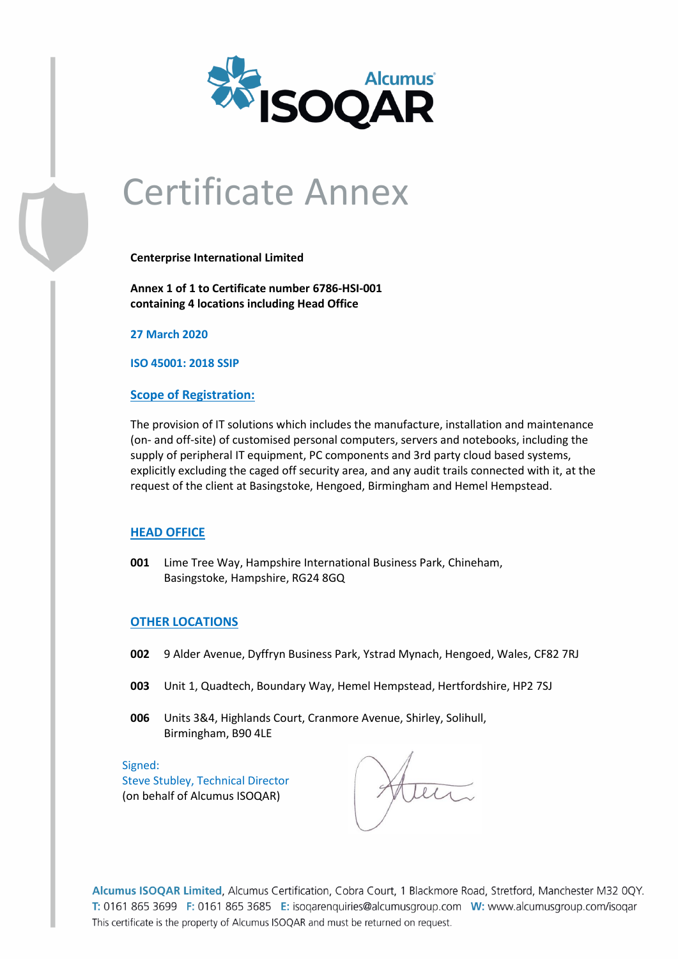

### Certificate Annex

**Centerprise International Limited**

**Annex 1 of 1 to Certificate number 6786-HSI-001 containing 4 locations including Head Office**

**27 March 2020**

**ISO 45001: 2018 SSIP**

#### **Scope of Registration:**

The provision of IT solutions which includes the manufacture, installation and maintenance (on- and off-site) of customised personal computers, servers and notebooks, including the supply of peripheral IT equipment, PC components and 3rd party cloud based systems, explicitly excluding the caged off security area, and any audit trails connected with it, at the request of the client at Basingstoke, Hengoed, Birmingham and Hemel Hempstead.

### **HEAD OFFICE**

**001** Lime Tree Way, Hampshire International Business Park, Chineham, Basingstoke, Hampshire, RG24 8GQ

#### **OTHER LOCATIONS**

- **002** 9 Alder Avenue, Dyffryn Business Park, Ystrad Mynach, Hengoed, Wales, CF82 7RJ
- **003** Unit 1, Quadtech, Boundary Way, Hemel Hempstead, Hertfordshire, HP2 7SJ
- **006** Units 3&4, Highlands Court, Cranmore Avenue, Shirley, Solihull, Birmingham, B90 4LE

Signed: Steve Stubley, Technical Director (on behalf of Alcumus ISOQAR)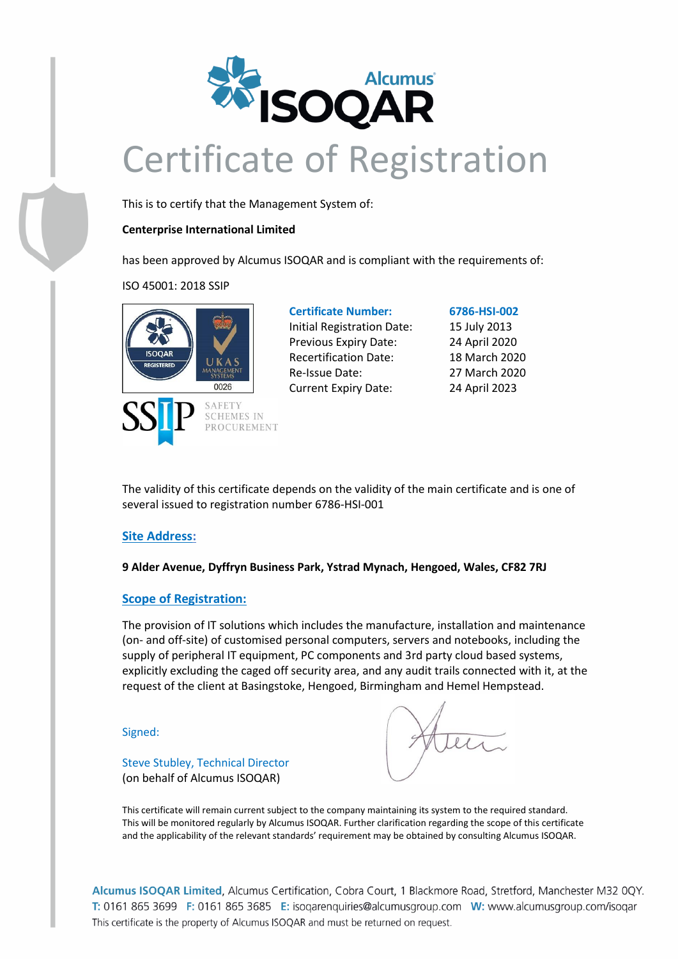

This is to certify that the Management System of:

### **Centerprise International Limited**

has been approved by Alcumus ISOQAR and is compliant with the requirements of:

ISO 45001: 2018 SSIP



### **Certificate Number: 6786-HSI-002** Initial Registration Date: 15 July 2013 Previous Expiry Date: 24 April 2020 Recertification Date: 18 March 2020 Re-Issue Date: 27 March 2020

Current Expiry Date: 24 April 2023

The validity of this certificate depends on the validity of the main certificate and is one of several issued to registration number 6786-HSI-001

### **Site Address:**

**9 Alder Avenue, Dyffryn Business Park, Ystrad Mynach, Hengoed, Wales, CF82 7RJ**

### **Scope of Registration:**

The provision of IT solutions which includes the manufacture, installation and maintenance (on- and off-site) of customised personal computers, servers and notebooks, including the supply of peripheral IT equipment, PC components and 3rd party cloud based systems, explicitly excluding the caged off security area, and any audit trails connected with it, at the request of the client at Basingstoke, Hengoed, Birmingham and Hemel Hempstead.

Signed:

Steve Stubley, Technical Director (on behalf of Alcumus ISOQAR)

This certificate will remain current subject to the company maintaining its system to the required standard. This will be monitored regularly by Alcumus ISOQAR. Further clarification regarding the scope of this certificate and the applicability of the relevant standards' requirement may be obtained by consulting Alcumus ISOQAR.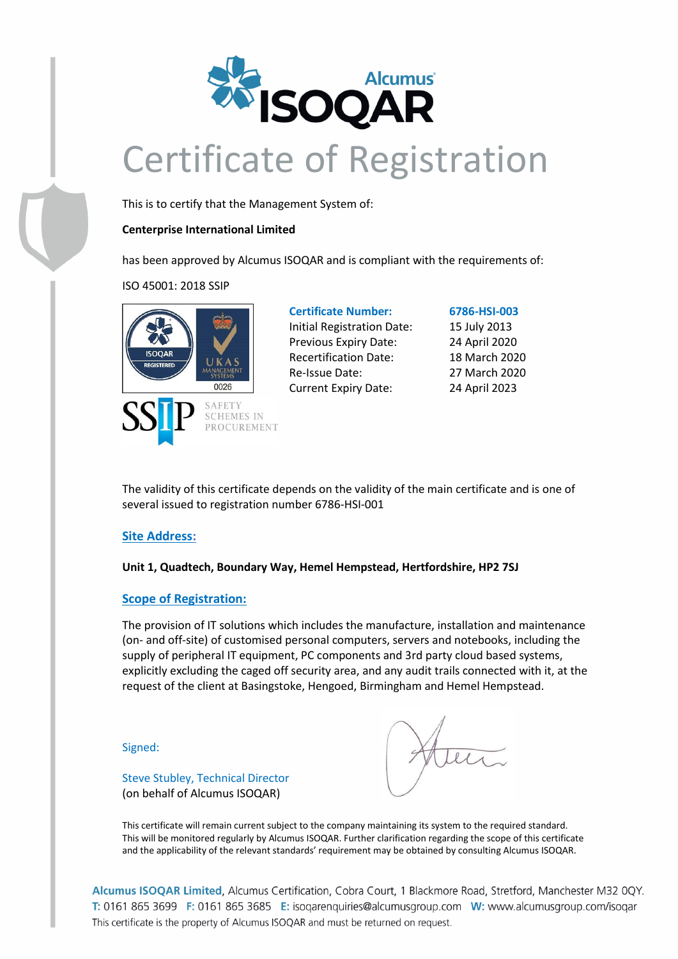

This is to certify that the Management System of:

### **Centerprise International Limited**

has been approved by Alcumus ISOQAR and is compliant with the requirements of:

ISO 45001: 2018 SSIP



**Certificate Number: 6786-HSI-003** Initial Registration Date: 15 July 2013 Previous Expiry Date: 24 April 2020 Recertification Date: 18 March 2020 Re-Issue Date: 27 March 2020 Current Expiry Date: 24 April 2023

The validity of this certificate depends on the validity of the main certificate and is one of several issued to registration number 6786-HSI-001

### **Site Address:**

### **Unit 1, Quadtech, Boundary Way, Hemel Hempstead, Hertfordshire, HP2 7SJ**

### **Scope of Registration:**

The provision of IT solutions which includes the manufacture, installation and maintenance (on- and off-site) of customised personal computers, servers and notebooks, including the supply of peripheral IT equipment, PC components and 3rd party cloud based systems, explicitly excluding the caged off security area, and any audit trails connected with it, at the request of the client at Basingstoke, Hengoed, Birmingham and Hemel Hempstead.

Signed:

Steve Stubley, Technical Director (on behalf of Alcumus ISOQAR)

This certificate will remain current subject to the company maintaining its system to the required standard. This will be monitored regularly by Alcumus ISOQAR. Further clarification regarding the scope of this certificate and the applicability of the relevant standards' requirement may be obtained by consulting Alcumus ISOQAR.